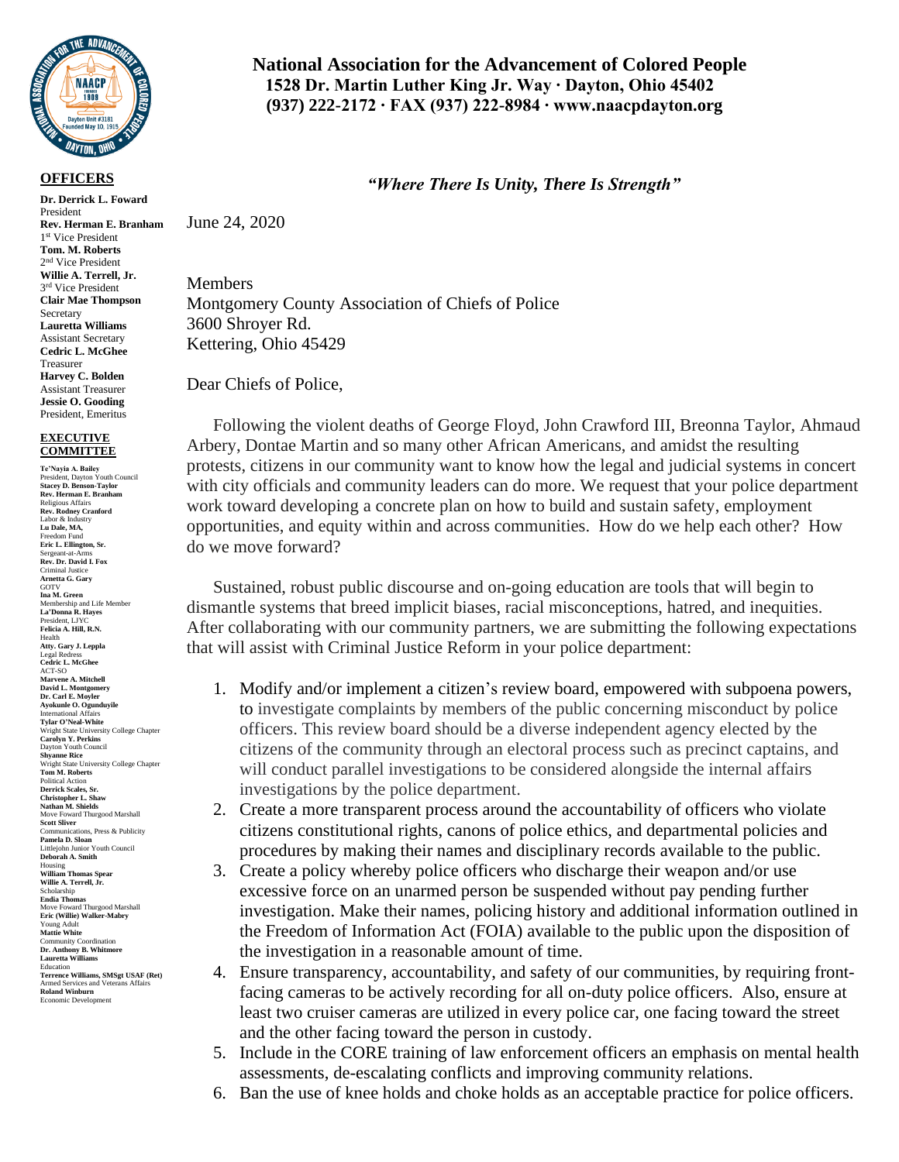

## **OFFICERS**

**Dr. Derrick L. Foward**  President **Rev. Herman E. Branham** 1 st Vice President **Tom. M. Roberts** 2 nd Vice President **Willie A. Terrell, Jr.** 3<sup>rd</sup> Vice President **Clair Mae Thompson** Secretary **Lauretta Williams** Assistant Secretary **Cedric L. McGhee** Treasurer **Harvey C. Bolden** Assistant Treasurer **Jessie O. Gooding** President, Emeritus

## **EXECUTIVE COMMITTEE**

**Te'Nayia A. Bailey** President, Dayton Youth Council **Stacey D. Benson-Taylor Rev. Herman E. Branham** Religious Affairs **Rev. Rodney Cranford** Labor & Industry **Lu Dale, MA,** Freedom Fund **Eric L. Ellington, Sr.** Sergeant-at-Arms **Rev. Dr. David I. Fox** Criminal Justice **Arnetta G. Gary** GOTV<br>Ina M. Green **Ina M. Green** Membership and Life Member **La'Donna R. Hayes** President, LJYC **Felicia A. Hill, R.N.** Health **Atty. Gary J. Leppla** Legal Redress **Cedric L. McGhee** ACT-SO **Marvene A. Mitchell David L. Montgomery Dr. Carl E. Moyler Ayokunle O. Ogunduyile** International Affairs **Tylar O'Neal-White** Wright State University College Chapter **Carolyn Y. Perkins** Dayton Youth Council **Shyanne Rice** Wright State University College Chapter **Tom M. Roberts** Political Action **Derrick Scales, Sr. Christopher L. Shaw Nathan M. Shields** Move Foward Thurgood Marshall **Scott Sliver** Communications, Press & Publicity **Pamela D. Sloan** Littlejohn Junior Youth Council **Deborah A. Smith** Housing **William Thomas Spear Willie A. Terrell, Jr.** Scholarship **Endia Thomas** Move Foward Thurgood Marshall **Eric (Willie) Walker-Mabry** Young Adult **Mattie White** Community Coordination **Dr. Anthony B. Whitmore Lauretta Williams** Education **Terrence Williams, SMSgt USAF (Ret)** Armed Services and Veterans Affairs **Roland Winburn** Economic Development

## **National Association for the Advancement of Colored People 1528 Dr. Martin Luther King Jr. Way ∙ Dayton, Ohio 45402 (937) 222-2172 ∙ FAX (937) 222-8984 ∙ www.naacpdayton.org**

## *"Where There Is Unity, There Is Strength"*

June 24, 2020

Members Montgomery County Association of Chiefs of Police 3600 Shroyer Rd. Kettering, Ohio 45429

Dear Chiefs of Police,

Following the violent deaths of George Floyd, John Crawford III, Breonna Taylor, Ahmaud Arbery, Dontae Martin and so many other African Americans, and amidst the resulting protests, citizens in our community want to know how the legal and judicial systems in concert with city officials and community leaders can do more. We request that your police department work toward developing a concrete plan on how to build and sustain safety, employment opportunities, and equity within and across communities. How do we help each other? How do we move forward?

Sustained, robust public discourse and on-going education are tools that will begin to dismantle systems that breed implicit biases, racial misconceptions, hatred, and inequities. After collaborating with our community partners, we are submitting the following expectations that will assist with Criminal Justice Reform in your police department:

- 1. Modify and/or implement a citizen's review board, empowered with subpoena powers, to investigate complaints by members of the public concerning misconduct by police officers. This review board should be a diverse independent agency elected by the citizens of the community through an electoral process such as precinct captains, and will conduct parallel investigations to be considered alongside the internal affairs investigations by the police department.
- 2. Create a more transparent process around the accountability of officers who violate citizens constitutional rights, canons of police ethics, and departmental policies and procedures by making their names and disciplinary records available to the public.
- 3. Create a policy whereby police officers who discharge their weapon and/or use excessive force on an unarmed person be suspended without pay pending further investigation. Make their names, policing history and additional information outlined in the Freedom of Information Act (FOIA) available to the public upon the disposition of the investigation in a reasonable amount of time.
- 4. Ensure transparency, accountability, and safety of our communities, by requiring frontfacing cameras to be actively recording for all on-duty police officers. Also, ensure at least two cruiser cameras are utilized in every police car, one facing toward the street and the other facing toward the person in custody.
- 5. Include in the CORE training of law enforcement officers an emphasis on mental health assessments, de-escalating conflicts and improving community relations.
- 6. Ban the use of knee holds and choke holds as an acceptable practice for police officers.